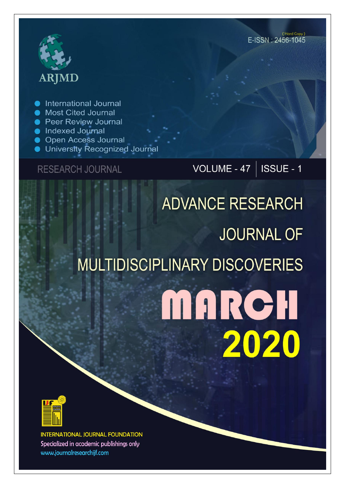# **ARJMD**

International Journal

- Most Cited Journal
- **Peer Review Journal**
- lndexed Journal
- **Open Access Journal**
- University Recognized Journal

**RESEARCH JOURNAL** 

VOLUME - 47 |  $\overline{\text{ISSUE}}$  - 1

## **ADVANCE RESEARCH JOURNAL OF MULTIDISCIPLINARY DISCOVERIES** MARCH 2020



**INTERNATIONAL JOURNAL FOUNDATION** Specialized in academic publishings only www.journalresearchijf.com

(Hard Copy) E-ISSN: 2456-1045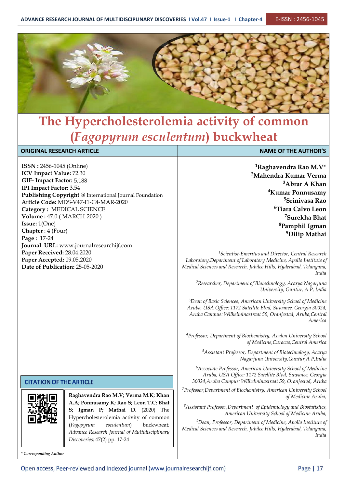

### **The Hypercholesterolemia activity of common (***Fagopyrum esculentum***) buckwheat**

| <b>NAME OF THE AUTHOR'S</b>                                                                                                                                                                                                                                                                                                                                                                                                                                                                                                                                                                                                                                                                                                                                                                                                                                                                                                                                                                                                                                    |  |  |  |
|----------------------------------------------------------------------------------------------------------------------------------------------------------------------------------------------------------------------------------------------------------------------------------------------------------------------------------------------------------------------------------------------------------------------------------------------------------------------------------------------------------------------------------------------------------------------------------------------------------------------------------------------------------------------------------------------------------------------------------------------------------------------------------------------------------------------------------------------------------------------------------------------------------------------------------------------------------------------------------------------------------------------------------------------------------------|--|--|--|
| <sup>1</sup> Raghavendra Rao M.V*<br><sup>2</sup> Mahendra Kumar Verma<br><sup>3</sup> Abrar A Khan<br><sup>4</sup> Kumar Ponnusamy<br><sup>5</sup> Srinivasa Rao<br><sup>6</sup> Tiara Calvo Leon<br><sup>7</sup> Surekha Bhat<br><sup>8</sup> Pamphil Igman<br><sup>9</sup> Dilip Mathai<br><sup>1</sup> Scientist-Emeritus and Director, Central Research<br>Laboratory, Department of Laboratory Medicine, Apollo Institute of<br>Medical Sciences and Research, Jubilee Hills, Hyderabad, Telangana,<br>India<br><sup>2</sup> Researcher, Department of Biotechnology, Acarya Nagarjuna<br>University, Guntur, A P, India<br><sup>3</sup> Dean of Basic Sciences, American University School of Medicine<br>Aruba, USA Office: 1172 Satellite Blvd, Suwanee, Georgia 30024,<br>Aruba Campus: Wilhelminastraat 59, Oranjestad, Aruba, Central<br>America<br><sup>4</sup> Professor, Department of Biochemistry, Avalon University School<br>of Medicine, Curacao, Central America<br><sup>5</sup> Assistant Professor, Department of Biotechnology, Acarya |  |  |  |
| Nagarjuna University, Guntur, A P, India<br><sup>6</sup> Associate Professor, American University School of Medicine<br>Aruba, USA Office: 1172 Satellite Blvd, Suwanee, Georgia<br>30024, Aruba Campus: Wilhelminastraat 59, Oranjestad, Aruba                                                                                                                                                                                                                                                                                                                                                                                                                                                                                                                                                                                                                                                                                                                                                                                                                |  |  |  |
| <sup>7</sup> Professor, Department of Biochemistry, American University School<br>of Medicine Aruba,<br><sup>8</sup> Assistant Professor, Department of Epidemiology and Biostatistics,<br>American University School of Medicine Aruba,<br><sup>9</sup> Dean, Professor, Department of Medicine, Apollo Institute of<br>Medical Sciences and Research, Jubilee Hills, Hyderabad, Telangana,<br>India                                                                                                                                                                                                                                                                                                                                                                                                                                                                                                                                                                                                                                                          |  |  |  |
| <b>ORIGINAL RESEARCH ARTICLE</b><br><b>ISSN: 2456-1045 (Online)</b><br>ICV Impact Value: 72.30<br>GIF-Impact Factor: 5.188<br>IPI Impact Factor: 3.54<br>Publishing Copyright @ International Journal Foundation<br>Article Code: MDS-V47-I1-C4-MAR-2020<br>Category: MEDICAL SCIENCE<br>Volume: 47.0 (MARCH-2020)<br>Issue: 1(One)<br>Chapter: 4 (Four)<br>Page: 17-24<br>Journal URL: www.journalresearchijf.com<br>Paper Received: 28.04.2020<br>Paper Accepted: 09.05.2020<br>Date of Publication: 25-05-2020<br><b>CITATION OF THE ARTICLE</b><br>Raghavendra Rao M.V; Verma M.K; Khan<br>A.A; Ponnusamy K; Rao S; Leon T.C; Bhat<br>S; Igman P; Mathai D. (2020) The<br>A693.NB<br>Hypercholesterolemia activity of common<br>esculentum)<br>buckwheat;<br>(Fagopyrum<br>Advance Research Journal of Multidisciplinary<br>Discoveries; 47(2) pp. 17-24                                                                                                                                                                                                   |  |  |  |

Open access, Peer-reviewed and Indexed journal (www.journalresearchijf.com)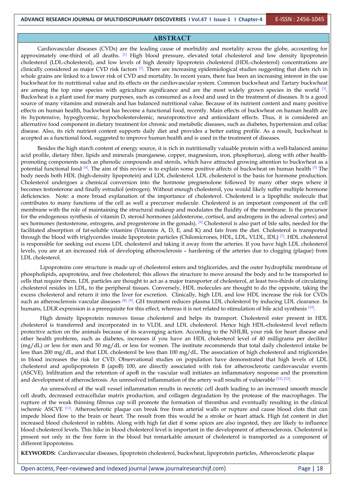#### **ABSTRACT**

Cardiovascular diseases (CVDs) are the leading cause of morbidity and mortality across the globe, accounting for approximately one-third of all deaths.  $^{[1]}$  High blood pressure, elevated total cholesterol and low density lipoprotein  $\parallel$ cholesterol (LDL-cholesterol), and low levels of high density lipoprotein cholesterol (HDL-cholesterol) concentrations are clinically considered as major CVD risk factors  $^{[2]}$ . There are increasing epidemiological studies suggesting that diets rich in  $\parallel$ whole grains are linked to a lower risk of CVD and mortality. In recent years, there has been an increasing interest in the use buckwheat for its nutritional value and its effects on the cardiovascular system. Common buckwheat and Tartary buckwheat are among the top nine species with agriculture significance and are the most widely grown species in the world  $[3]$ . Buckwheat is a plant used for many purposes, such as consumed as a food and used in the treatment of diseases. It is a good source of many vitamins and minerals and has balanced nutritional value. Because of its nutrient content and many positive effects on human health, buckwheat has become a functional food, recently. Main effects of buckwheat on human health are its hypotensive, hypoglycemic, hypocholesterolemic, neuroprotective and antioxidant effects. Thus, it is considered an alternative food component in dietary treatment for chronic and metabolic diseases, such as diabetes, hypertension and celiac disease. Also, its rich nutrient content supports daily diet and provides a better eating profile. As a result, buckwheat is accepted as a functional food, suggested to improve human health and is used in the treatment of diseases.

Besides the high starch content of energy source, it is rich in nutritionally valuable protein with a well-balanced amino acid profile, dietary fiber, lipids and minerals (manganese, copper, magnesium, iron, phosphorus), along with other health promoting components such as phenolic compounds and sterols, which have attracted growing attention to buckwheat as a potential functional food  $[4]$ . The aim of this review is to explain some positive affects of buckwheat on human health  $[5]$  The body needs both HDL (high-density lipoprotein) and LDL cholesterol. LDL cholesterol is the basis for hormone production. Cholesterol undergoes a chemical conversion into the hormone pregnenolone followed by many other steps where it becomes testosterone and finally estradiol (estrogen). Without enough cholesterol, you would likely suffer multiple hormone deficiencies. Note: a more broad explanation of the importance of cholesterol. Cholesterol is a lipophilic molecule that contributes to many functions of the cell as well a precursor molecule. Cholesterol is an important component of the cell membrane with the role of maintaining the structural makeup and modulates the fluidity of the membrane. Is the precursor for the endogenous synthesis of vitamin D, steroid hormones (aldosterone, cortisol, and androgens in the adrenal cortex) and sex hormones (testosterone, estrogens, and progesterone in the gonads). <sup>[6]</sup> Cholesterol is also part of bile salts, needed for the  $\parallel$ facilitated absorption of fat-soluble vitamins (Vitamins A, D, E, and K) and fats from the diet. Cholesterol is transported through the blood with triglycerides inside lipoprotein particles (Chilomicrones, HDL, LDL, VLDL, IDL) <sup>[7]</sup>. HDL cholesterol || is responsible for seeking out excess LDL cholesterol and taking it away from the arteries. If you have high LDL cholesterol levels, you are at an increased risk of developing atherosclerosis – hardening of the arteries due to clogging (plaque) from LDL cholesterol.

Lipoproteins core structure is made up of cholesterol esters and triglicerides, and the outer hydrophilic membrane of phospholipids, apoproteins, and free cholesterol; this allows the structure to move around the body and to be transported to cells that require them. LDL particles are thought to act as a major transporter of cholesterol, at least two-thirds of circulating cholesterol resides in LDL, to the peripheral tissues. Conversely, HDL molecules are thought to do the opposite, taking the excess cholesterol and return it into the liver for excretion. Clinically, high LDL and low HDL increase the risk for CVDs such as atherosclerosis vascular diseases  $^{[8]$ , [9]. GH treatment reduces plasma LDL cholesterol by inducing LDL clearance. In  $\parallel$ humans, LDLR expression is a prerequisite for this effect, whereas it is not related to stimulation of bile acid synthesis  $^{[10]}$ .

High density lipoprotein removes tissue cholesterol and helps its transport. Cholesterol ester present in HDL cholesterol is transferred and incorporated in to VLDL and LDL cholesterol. Hence high HDL-cholesterol level reflects protective action on the animals because of its scavenging action. According to the NHLBI, your risk for heart disease and other health problems, such as diabetes, increases if you have an HDL cholesterol level of 40 milligrams per deciliter (mg/dL) or less for men and 50 mg/dL or less for women. The institute recommends that total daily cholesterol intake be less than 200 mg/dL, and that LDL cholesterol be less than 100 mg/dL. The association of high cholesterol and triglicerides in blood increases the risk for CVD. Observational studies on population have demonstrated that high levels of LDL cholesterol and apolipoprotein B (apoB) 100, are directly associated with risk for atherosclerotic cardiovascular events (ASCVE). Infiltration and the retention of apoB in the vascular wall initiates an inflammatory response and the promotion and development of atherosclerosis. An unresolved inflammation of the artery wall results of vulnerable [11], [12].

An unresolved of the wall vessel inflammation results in necrotic cell death leading to an increased smooth muscle cell death, decreased extracellular matrix production, and collagen degradation by the protease of the macrophages. The rupture of the weak thinning fibrous cap will promote the formation of thrombus and eventually resulting in the clinical ischemic ASCVE  $^{[13]}$ . Atherosclerotic plaque can break free from arterial walls or rupture and cause blood clots that can impede blood flow to the brain or heart. The result from this would be a stroke or heart attack. High fat content in diet increased blood cholesterol in rabbits. Along with high fat diet if some spices are also ingested, they are likely to influence blood cholesterol levels. This hike in blood cholesterol level is important in the development of atherosclerosis. Cholesterol is present not only in the free form in the blood but remarkable amount of cholesterol is transported as a component of different lipoproteins.

**KEYWORDS:** Cardiovascular diseases, lipoprotein cholesterol, buckwheat, lipoprotein particles, Atherosclerotic plaque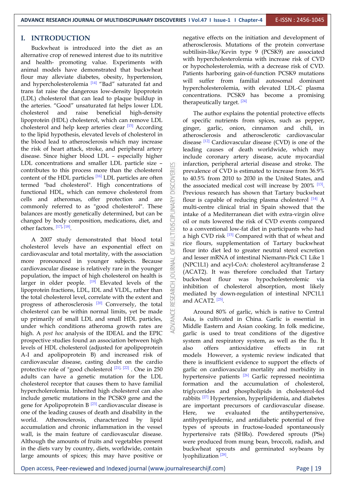**ADVANCE RESEARCH JOURNAL OF MULTIDISCIPLINARY DISCOVERIES I Vol.47 I Issue-1 I Chapter-4** E-ISSN : 2456-1045

 $\supset$ 

#### **I. INTRODUCTION**

Buckwheat is introduced into the diet as an alternative crop of renewed interest due to its nutritive and health- promoting value. Experiments with animal models have demonstrated that buckwheat flour may alleviate diabetes, obesity, hypertension, and hypercholesterolemia  $\frac{14}{4}$  "Bad" saturated fat and  $\frac{12}{4}$  hypercholesterolemia trans fat raise the dangerous low-density lipoprotein (LDL) cholesterol that can lead to plaque buildup in the arteries. "Good" unsaturated fat helps lower LDL cholesterol and raise beneficial high-density lipoprotein (HDL) cholesterol, which can remove LDL cholesterol and help keep arteries clear <sup>[15]</sup> According ginger, garlic, to the lipid hypothesis, elevated levels of cholesterol in the blood lead to atherosclerosis which may increase the risk of heart attack, stroke, and peripheral artery disease. Since higher blood LDL – especially higher LDL concentrations and smaller LDL particle size contributes to this process more than the cholesterol  $\Box$ content of the HDL particles  $\frac{16}{16}$  LDL particles are often  $\geq$  to 40.5% from 2 content of the HDL particles  $^{[16]}$  LDL particles are often<br>termed "bad cholesterol". High concentrations of<br>functional HDL, which can remove cholesterol from functional HDL, which can remove cholesterol from cells and atheromas, offer protection and are commonly referred to as "good cholesterol". These balances are mostly genetically determined, but can be changed by body composition medications diet and commonly referred to as "good cholesterol". These balances are mostly genetically determined, but can be changed by body composition, medications, diet, and other factors.  $[17]$ ,  $[18]$ .

A 2007 study demonstrated that blood total cholesterol levels have an exponential effect on  $\sum_{\mu}^{\infty}$ cardiovascular and total mortality, with the association more pronounced in younger subjects. Because  $\leq$  cardiovascular disease is relatively rare in the younger more pronounced in younger subjects. Because cardiovascular disease is relatively rare in the younger population, the impact of high cholesterol on health is population, the impact of high cholesterol on health is larger in older people.  $^{[19]}$  Elevated levels of the  $\pm$  interaction lipoprotein fractions, LDL, IDL and VLDL, rather than the total cholesterol level, correlate with the extent and progress of atherosclerosis  $[20]$  Conversely, the total  $\mathbb{Z}$ cholesterol can be within normal limits, yet be made up primarily of small LDL and small HDL particles, under which conditions atheroma growth rates are high. A *post hoc* analysis of the IDEAL and the EPIC prospective studies found an association between high levels of HDL cholesterol (adjusted for apolipoprotein A-I and apolipoprotein B) and increased risk of cardiovascular disease, casting doubt on the cardio protective role of "good cholesterol  $[21]$ ,  $[22]$  . One in 250 garlic on car adults can have a genetic mutation for the LDL cholesterol receptor that causes them to have familial hypercholerolemia. Inherited high cholesterol can also include genetic mutations in the PCSK9 gene and the gene for Apolipoprotein B<sup>[23]</sup> cardiovascular disease is are import one of the leading causes of death and disability in the world. Atherosclerosis, characterized by lipid accumulation and chronic inflammation in the vessel wall, is the main feature of cardiovascular disease. Although the amounts of fruits and vegetables present in the diets vary by country, diets, worldwide, contain large amounts of spices; this may have positive or

negative effects on the initiation and development of atherosclerosis. Mutations of the protein convertase subtilisin-like/Kevin type 9 (PCSK9) are associated with hypercholesterolemia with increase risk of CVD or hypocholesterolemia, with a decrease risk of CVD. Patients harboring gain-of-function PCSK9 mutations will suffer from familial autosomal dominant hypercholesterolemia, with elevated LDL-C plasma concentrations. PCSK9 has become a promising therapeutically target. [24]

The author explains the potential protective effects of specific nutrients from spices, such as pepper, ginger, garlic, onion, cinnamon and chili, in atherosclerosis and atherosclerotic cardiovascular disease <sup>[12]</sup> Cardiovascular disease (CVD) is one of the leading causes of death worldwide, which may include coronary artery disease, acute myocardial infarction, peripheral arterial disease and stroke. The prevalence of CVD is estimated to increase from 36.9% to 40.5% from 2010 to 2030 in the United States, and the associated medical cost will increase by 200% [13]. Previous research has shown that Tartary buckwheat flour is capable of reducing plasma cholesterol <sup>[14]</sup> A multi-centre clinical trial in Spain showed that the intake of a Mediterranean diet with extra-virgin olive oil or nuts lowered the risk of CVD events compared to a conventional low-fat diet in participants who had a high CVD risk <sup>[15]</sup> Compared with that of wheat and rice flours, supplementation of Tartary buckwheat flour into diet led to greater neutral sterol excretion and lesser mRNA of intestinal Niemann-Pick C1 Like 1 (NPC1L1) and acyl-CoA: cholesterol acyltransferase 2 (ACAT2). It was therefore concluded that Tartary buckwheat flour was hypocholesterolemic via inhibition of cholesterol absorption, most likely mediated by down-regulation of intestinal NPC1L1 and ACAT2.  $[25]$ .

Around 80% of garlic, which is native to Central Asia, is cultivated in China. Garlic is essential in Middle Eastern and Asian cooking. In folk medicine, garlic is used to treat conditions of the digestive system and respiratory system, as well as the flu. It antioxidative effects in rat models However, a systemic review indicated that there is insufficient evidence to support the effects of garlic on cardiovascular mortality and morbidity in hypertensive patients <sup>[26]</sup> Garlic repressed neointima | formation and the accumulation of cholesterol, triglycerides and phospholipids in cholesterol-fed rabbits <sup>[27]</sup> Hypertension, hyperlipidemia, and diabetes are important precursors of cardiovascular disease. evaluated the antihypertensive, antihyperlipidemic, and antidiabetic potential of five types of sprouts in fructose-loaded spontaneously hypertensive rats (SHRs). Powdered sprouts (PSs) were produced from mung bean, broccoli, radish, and buckwheat sprouts and germinated soybeans by lyophilization <sup>[28]</sup>.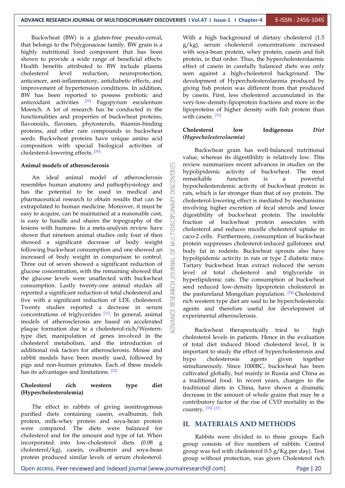띱

Buckwheat (BW) is a gluten-free pseudo-cereal, that belongs to the Polygonaceae family. BW grain is a highly nutritional food component that has been shown to provide a wide range of beneficial effects. Health benefits attributed to BW include plasma cholesterol level reduction, neuroprotection, anticancer, anti-inflammatory, antidiabetic effects, and improvement of hypertension conditions. In addition, BW has been reported to possess prebiotic and antioxidant activities <sup>[29]</sup> Fagopyrum esculentum Moench. A lot of research has be conducted in the functionalities and properties of buckwheat proteins, flavonoids, flavones, phytosterols, thiamin-binding<br>proteins and other rare compounds in buckwheat **Cholesterol** proteins, and other rare compounds in buckwheat seeds. Buckwheat proteins have unique amino acid composition with special biological activities of cholesterol-lowering effects. [30]

#### **Animal models of atherosclerosis**

An ideal animal model of atherosclerosis<br>mbles human anatomy and pathophysiology and<br>the potential to be used in medical and resembles human anatomy and pathophysiology and has the potential to be used in medical and pharmaceutical research to obtain results that can be extrapolated to human medicine. Moreover, it must be easy to acquire, can be maintained at a reasonable cost, is easy to handle and shares the topography of the lesion extrapolated to human medicine. Moreover, it must be easy to acquire, can be maintained at a reasonable cost, is easy to handle and shares the topography of the lesions with humans. In a meta-analysis review have shown that nineteen animal studies only four of then showed a significant decrease of body weight following buckwheat consumption and one showed an increased of body weight in comparison to control.<br>Three out of seven showed a significant reduction of  $\sum_{n=1}^{\infty}$ Three out of seven showed a significant reduction of glucose concentration, with the remaining showed that the glucose levels were unaffected with buckwheat consumption. Lastly twenty-one animal studies all reported a significant reduction of total cholesterol and five with a significant reduction of LDL cholesterol. Twenty studies reported a decrease in serum concentrations of triglycerides  $\begin{bmatrix} 31 \end{bmatrix}$ . In general, animal  $\begin{bmatrix} 2 \\ 2 \end{bmatrix}$  expe models of atherosclerosis are based on accelerated plaque formation due to a cholesterol-rich/Westerntype diet, manipulation of genes involved in the cholesterol metabolism, and the introduction of additional risk factors for atherosclerosis. Mouse and rabbit models have been mostly used, followed by  $h\nu$ pigs and non-human primates. Each of these models has its advantages and limitations. [32]

#### **Cholesterol rich western type diet (Hypercholesterolemia)**

The effect in rabbits of giving isonitrogenous purified diets containing casein, ovalbumin, fish protein, milk-whey protein and soya-bean protein were compared. The diets were balanced for cholesterol and for the amount and type of fat. When incorporated into low-cholesterol diets (0.08 g cholesterol/kg), casein, ovalbumin and soya-bean protein produced similar levels of serum cholesterol.

 $[29]$  Fagopyrum esculentum very-low-density-lipoprotein fractions and more in the With a high background of dietary cholesterol (1.5 g/kg), serum cholesterol concentrations increased with soya-bean protein, whey protein, casein and fish protein, in that order. Thus, the hypercholesterolaemic effect of casein in carefully balanced diets was only seen against a high-cholesterol background. The development of Hypercholesterolaemia produced by giving fish protein was different from that produced by casein. First, less cholesterol accumulated in the lipoproteins of higher density with fish protein than with casein.<sup>[33]</sup>

#### **Cholesterol low Indigenous** *Diet (Hypocholesterolaemia)*

Buckwheat grain has well‐balanced nutritional value, whereas its digestibility is relatively low. This review summarizes recent advances in studies on the hypolipidemic activity of buckwheat. The most remarkable function is a powerful hypocholesterolemic activity of buckwheat protein in rats, which is far stronger than that of soy protein. The cholesterol‐lowering effect is mediated by mechanisms involving higher excretion of fecal sterols and lower digestibility of buckwheat protein. The insoluble fraction of buckwheat protein associates with cholesterol and reduces micelle cholesterol uptake in caco‐2 cells. Furthermore, consumption of buckwheat protein suppresses cholesterol‐induced gallstones and body fat in rodents. Buckwheat sprouts also have hypolipidemic activity in rats or type 2 diabetic mice. Tartary buckwheat bran extract reduced the serum level of total cholesterol and triglyceride in hyperlipidemic rats. The consumption of buckwheat seed reduced low‐density lipoprotein cholesterol in the pastureland Mongolian population. <sup>[34]</sup> Cholesterol rich western type diet are said to be hypercholesterolic agents and therefore useful for development of experimental atherosclerosis.

Buckwheat therapeutically tried to high cholesterol levels in patients. Hence in the evaluation of total diet induced blood cholesterol level, It is important to study the effect of hypercholesterosis and cholesterosis agents given together simultaneously. Since 1000BC, buckwheat has been cultivated globally, but mainly in Russia and China as a traditional food. In recent years, changes to the traditional diets in China, have shown a dramatic decrease in the amount of whole grains that may be a contributory factor of the rise of CVD mortality in the country. [35]- [37]

#### **II. MATERIALS AND METHODS**

Rabbits were divided in to three groups. Each group consists of five numbers of rabbits. Control group was fed with cholesterol 0.5 g/Kg.per day). Test group without protection, was given Cholesterol rich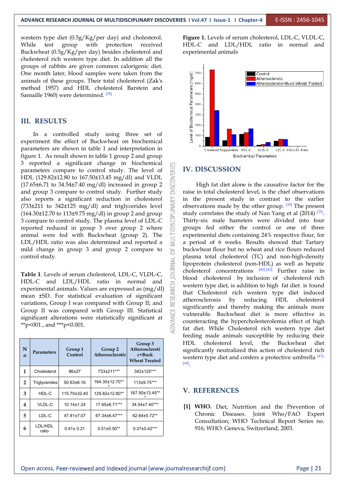western type diet (0.5g/Kg/per day) and cholesterol. While test group with protection received Buckwheat (0.5g/Kg/per day) besides cholesterol and cholesterol rich western type diet. In addition all the groups of rabbits are given common calorigenic diet. One month later, blood samples were taken from the animals of these groups. Their total cholesterol (Zak's method 1957) and HDL cholesterol Barstein and Samaille 1960) were determined.  $^{[38]}$ animals of these groups. Their total cholesterol (Zak's  $\mathbb{E}_{\text{non}}$ method 1957) and HDL cholesterol Barstein and Samaille 1960) were determined. <sup>[38]</sup>

#### **III. RESULTS**

In a controlled study using three set of  $\frac{1}{8}$  and  $\frac{1}{8}$  arrive in the effect of Buckwheat on biochemical experiment the effect of Buckwheat on biochemical parameters are shown in table 1 and interpretation in figure 1. As result shown in table 1 group 2 and group 3 reported a significant change in biochemical parameters compare to control study. The level of HDL (129.82±12.80 to 167.50±13.45 mg/dl) and VLDL (17.65±6.71 to 34.54±7.40 mg/dl) increased in group 2 and group 3 compare to control study. Further study (17.65±6.71 to 34.54±7.40 mg/dl) increased in group 2 and group 3 compare to control study. Further study also reports a significant reduction in cholesterol (733±211 to 342±125 mg/dl) and triglycerides level (164.30±12.70 to 113±9.75 mg/dl) in group 2 and group 3 compare to control study. The plasma level of LDL-C reported r (733±211 to 342±125 mg/dl) and triglycerides level (164.30±12.70 to 113±9.75 mg/dl) in group 2 and group 3 compare to control study. The plasma level of LDL-C reported reduced in group 3 over group 2 where animal were fed with Buckwheat (group 2). The LDL/HDL ratio was also determined and reported a mild change in group 3 and group 2 compare to control study.

**Table 1**. Levels of serum cholesterol, LDL-C, VLDL-C, HDL-C and LDL/HDL ratio in normal and experimental animals. Values are expressed as  $(mg/dl)$  mean  $\pm$ SD. For statistical evaluation of significant variations, Group I was compared with Group II; and experimental animals. Values are expressed as (mg/dl) mean ±SD. For statistical evaluation of significant variations, Group I was compared with Group II; and Group II was compared with Group III. Statistical significant alterations were statistically significant at \*\*p<001., and \*\*\*p<0.001.

| N<br>$\bf{O}$  | <b>Parameters</b>    | Group 1<br>Control | Group 2<br>Atherosclerotic | Group 3<br>Atheroscleroti<br>c+Buck<br><b>Wheat Treated</b> | HDL<br>significa<br>western<br>$[44]$ |
|----------------|----------------------|--------------------|----------------------------|-------------------------------------------------------------|---------------------------------------|
| $\mathbf{1}$   | Cholesterol          | 86±27              | 733±211***                 | 342±125***                                                  |                                       |
| $\overline{2}$ | <b>Triglycerides</b> | $50.63 \pm 6.16$   | 164.30±12.70**             | 113±9.75***                                                 |                                       |
| 3              | HDL-C                | 115.70±32.40       | 129.82±12.80**             | 167.50±13.45**                                              | V. REI                                |
| 4              | VLDL-C               | $10.14 \pm 1.24$   | 17.65±6.71***              | 34.54±7.40***                                               | $[1]$                                 |
| 5              | LDL-C                | 47.81±7.07         | 67.34±6.47***              | 62.64±5.72**                                                |                                       |
| 6              | LDL/HDL<br>ratio     | $0.41 \pm 0.21$    | $0.51 \pm 0.50$ **         | $0.37 \pm 0.42***$                                          |                                       |

**Figure 1.** Levels of serum cholesterol, LDL-C, VLDL-C, HDL-C and LDL/HDL ratio in normal and experimental animals



#### **IV. DISCUSSION**

Atheroscleroti significantly neutralized this action of cholesterol rich **c+Buck**  $\mathbf{w}_{\text{heat}}$  **Treated** western type diet and confers a protective umbrella  $\frac{[43]}{[43]}$ High fat diet alone is the causative factor for the raise in total cholesterol level, is the chief observations in the present study in contrast to the earlier observations made by the other group.  $[39]$  The present  $\Box$ study correlates the study of Nan Yang et al (2014)<sup>[25]</sup>. Thirty-six male hamsters were divided into four groups fed either the control or one of three experimental diets containing 24% respective flour, for a period of 6 weeks. Results showed that Tartary buckwheat flour but no wheat and rice flours reduced plasma total cholesterol (TC) and non-high-density lipoprotein cholesterol (non-HDL) as well as hepatic cholesterol concentrations  $[40]$ - $[42]$  Further raise in blood cholesterol by inclusion of cholesterol rich western type diet, is addition to high fat diet is found that Cholesterol rich western type diet induced atherosclerosis by reducing HDL cholesterol significantly and thereby making the animals more vulnerable. Buckwheat diet is more effective in counteracting the hypercholesterolemia effect of high fat diet. While Cholesterol rich western type diet feeding made animals susceptible by reducing their HDL cholesterol level, the Buckwheat diet [44].

#### **V. REFERENCES**

**[1] WHO.** Diet, Nutrition and the Prevention of Chronic Diseases. Joint Who/FAO Expert Consultation; WHO Technical Report Series no. 916; WHO: Geneva, Switzerland, 2003.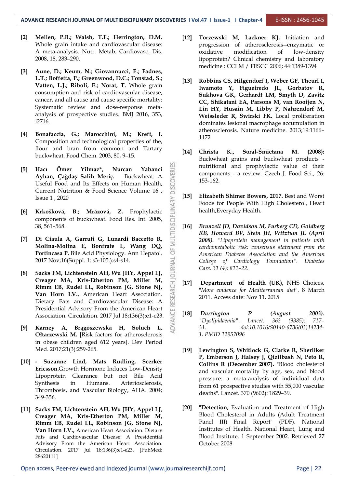- **[2] Mellen, P.B.; Walsh, T.F.; Herrington, D.M.** Whole grain intake and cardiovascular disease: A meta-analysis. Nutr. Metab. Cardiovasc. Dis. 2008, 18, 283–290.
- **[3] Aune, D.; Keum, N.; Giovannucci, E.; Fadnes, L.T.; Boffetta, P.; Greenwood, D.C.; Tonstad, S.; Vatten, L.J.; Riboli, E.; Norat, T.** Whole grain consumption and risk of cardiovascular disease, cancer, and all cause and cause specific mortality: Systematic review and dose-response meta analysis of prospective studies. BMJ 2016, 353, i2716.
- **[4] Bonafaccia, G.; Marocchini, M.; Kreft, I.** Composition and technological properties of the, flour and bran from common and Tartary<br>
[14] Christa K., buckwheat. Food Chem. 2003, 80, 9–15.
- **[5] Hacı Ömer Yilmaz\*, Nurcan Yabanci Ayhan, Çağdaş Salih Meriç.** Buckwheat: A Useful Food and Its Effects on Human Health, Current Nutrition & Food Science Volume 16 ,  $\frac{5}{6}$  [15] Issue 1 , 2020
- **[6] Krkošková, B.; Mrázová, Z.** Prophylactic<br>
components of buckwheat. Food Res. Int. 2005,<br>
38, 561–568.<br> **[7] Di Ciaula A, Garruti G, Lunardi Baccetto R,<br>
Molina-Molina F. Bonfrate J. Wang, DO** components of buckwheat. Food Res. Int. 2005, 38, 561–568.
- **[7] Di Ciaula A, Garruti G, Lunardi Baccetto R, Molina-Molina E, Bonfrate L, Wang DQ, Portincasa P.** Bile Acid Physiology. Ann Hepatol.<br>2017 Nov;16(Suppl. 1: s3-105.):s4-s14.<br>**Sacks FM, Lichtenstein AH, Wu JHY, Appel LJ,** 2017 Nov;16(Suppl. 1: s3-105.):s4-s14.
- **[8] Sacks FM, Lichtenstein AH, Wu JHY, Appel LJ, Creager MA, Kris-Etherton PM, Miller M,**<br> **Rimm EB, Rudel LL, Robinson JG, Stone NJ,**<br> **Van Horn LV., American Heart Association.**<br>
Dietary Fats and Cardiovascular Disease: A **Rimm EB, Rudel LL, Robinson JG, Stone NJ, Van Horn LV.,** American Heart Association. Dietary Fats and Cardiovascular Disease: A Presidential Advisory From the American Heart  $\overline{\mathbf{H}}$  [18] Association. Circulation. 2017 Jul 18;136(3):e1-e23.
- **[9] Karney A, Brągoszewska H, Soluch L, Ołtarzewski M.** [Risk factors for atherosclerosis in obese children aged 612 years]. Dev Period Med. 2017;21(3):259-265.
- **[10] - Suzanne Lind, Mats Rudling, Scerker Ericsson.**Growth Hormone Induces Low-Density Lipoprotein Clearance but not Bile Acid Synthesis in Humans. Arteriosclerosis, Thrombosis, and Vascular Biology, AHA. 2004; 349-356.
- **[11] Sacks FM, Lichtenstein AH, Wu JHY, Appel LJ, Creager MA, Kris-Etherton PM, Miller M, Rimm EB, Rudel LL, Robinson JG, Stone NJ, Van Horn LV.,** American Heart Association. Dietary Fats and Cardiovascular Disease: A Presidential Advisory From the American Heart Association. Circulation. 2017 Jul 18;136(3):e1-e23. [PubMed: 28620111]
- **[12] Torzewski M, Lackner KJ.** Initiation and progression of atherosclerosis--enzymatic or oxidative modification of low-density lipoprotein? Clinical chemistry and laboratory medicine : CCLM / FESCC 2006; 44:1389-1394
- **[13] Robbins CS, Hilgendorf I, Weber GF, Theurl I, Iwamoto Y, Figueiredo JL, Gorbatov R, Sukhova GK, Gerhardt LM, Smyth D, Zavitz CC, Shikatani EA, Parsons M, van Rooijen N, Lin HY, Husain M, Libby P, Nahrendorf M, Weissleder R, Swirski FK.** Local proliferation dominates lesional macrophage accumulation in atherosclerosis. Nature medicine. 2013;19:1166– 1172
- **[14] Christa K., Soral-Śmietana M. (2008):** Buckwheat grains and buckwheat products nutritional and prophylactic value of their components - a review. Czech J. Food Sci., 26: 153-162.
- **[15] Elizabeth Shimer Bowers, 2017.** Best and Worst Foods for People With High Cholesterol, Heart health,Everyday Health.
- **[16]** *Brunzell JD, Davidson M, Furberg CD, Goldberg RB, Howard BV, Stein JH, Witztum JL (April 2008). "Lipoprotein management in patients with cardiometabolic risk: consensus statement from the American Diabetes Association and the American College of Cardiology Foundation". Diabetes Care. 31 (4): 811–22.*
- **[17] Department of Health (UK),** NHS Choices, "*More evidence for Mediterranean diet*". 8 March 2011. Access date: Nov 11, 2015
- **[18]** *Durrington P (August 2003). "Dyslipidaemia". Lancet. 362 (9385): 717– 31. doi:10.1016/S0140-6736(03)14234- 1. PMID 12957096*
- **[19] Lewington S, Whitlock G, Clarke R, Sherliker P, Emberson J, Halsey J, Qizilbash N, Peto R, Collins R (December 2007).** "Blood cholesterol and vascular mortality by age, sex, and blood pressure: a meta-analysis of individual data from 61 prospective studies with 55,000 vascular deaths". Lancet. 370 (9602): 1829–39.
- **[20] "Detection,** Evaluation and Treatment of High Blood Cholesterol in Adults (Adult Treatment Panel III) Final Report" (PDF). National Institutes of Health. National Heart, Lung and Blood Institute. 1 September 2002. Retrieved 27 October 2008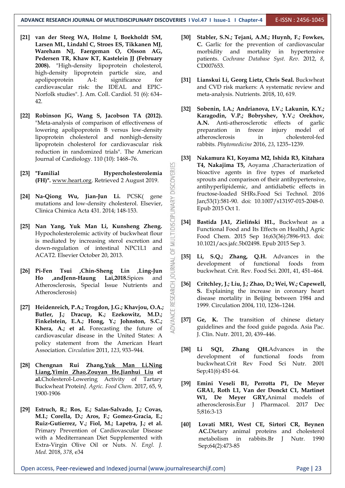- **[21] van der Steeg WA, Holme I, Boekholdt SM, Larsen ML, Lindahl C, Stroes ES, Tikkanen MJ, Wareham NJ, Faergeman O, Olsson AG, Pedersen TR, Khaw KT, Kastelein JJ (February 2008).** "High-density lipoprotein cholesterol, high-density lipoprotein particle size, and apolipoprotein A-I: significance for cardiovascular risk: the IDEAL and EPIC- Norfolk studies". J. Am. Coll. Cardiol. 51 (6): 634– 42.
- **[22] Robinson JG, Wang S, Jacobson TA (2012).** "Meta-analysis of comparison of effectiveness of lowering apolipoprotein B versus low-density preparation in lipoprotein cholesterol and nonhigh-density lipoprotein cholesterol for cardiovascular risk reduction in randomized trials". The American Journal of Cardiology. 110 (10): 1468–76.
- **(FH)".** [www.heart.org](http://www.heart.org). Retrieved 2 August 2019.
- **[24] Na-Qiong Wu, Jian-Jun Li.** PCSK( gene mutations and low-density cholesterol. Elsevier, Clinica Chimica Acta 431. 2014; 148-153.
- **Familial Hypercholesterolemia**<br> **(FH)".** www.heart.org. Retrieved 2 August 2019.<br> **[24]** Na-Qiong Wu, Jian-Jun Li. PCSK( gene mutations and low-density cholesterol. Elsevier, Clinica Chimica Acta 431. 2014; 148-153.<br> **[25 [25] Nan Yang, Yuk Man Li, Kunsheng Zheng.** Hypocholesterolemic activity of buckwheat flour is mediated by increasing sterol excretion and down-regulation of intestinal NPC1L1 and ACAT2. Elsevier October 20, 2013.
- **[26] Pi-Fen Tsui ,Chin-Sheng Lin ,Ling-Jun Ho ,andJenn-Haung Lai,2018.**Spices and Atherosclerosis, Special Issue Nutrients and Atherosclerosis)
- **[27] Heidenreich, P.A.; Trogdon, J.G.; Khavjou, O.A.; Butler, J.; Dracup, K.; Ezekowitz, M.D.; Finkelstein, E.A.; Hong, Y.; Johnston, S.C.; Khera, A.; et al.** Forecasting the future of cardiovascular disease in the United States: A policy statement from the American Heart Association. *Circulation* 2011, *123*, 933–944.
- **[28] Chengnan Rui Zhang,Yuk [Man](https://pubs.acs.org/action/doSearch?field1=Contrib&text1=Yuk+Man++Li) Li,[Ning](https://pubs.acs.org/action/doSearch?field1=Contrib&text1=Ning++Liang) Liang[,Yimin](https://pubs.acs.org/action/doSearch?field1=Contrib&text1=Yimin++Zhao) Zhao,[Zouyan](https://pubs.acs.org/action/doSearch?field1=Contrib&text1=Zouyan++He) He[,Jianhui](https://pubs.acs.org/action/doSearch?field1=Contrib&text1=Jianhui++Liu) Liu et al.**Cholesterol-Lowering Activity of Tartary Buckwheat Protein*J. Agric. Food Chem.* 2017, 65, 9, 1900-1906
- **[29] Estruch, R.; Ros, E.; Salas-Salvado, J.; Covas, M.I.; Corella, D.; Aros, F.; Gomez-Gracia, E.; Ruiz-Gutierrez, V.; Fiol, M.; Lapetra, J.; et al.** Primary Prevention of Cardiovascular Disease with a Mediterranean Diet Supplemented with Extra-Virgin Olive Oil or Nuts. *N. Engl. J. Med.* 2018, *378*, e34
- **[30] Stabler, S.N.; Tejani, A.M.; Huynh, F.; Fowkes, C.** Garlic for the prevention of cardiovascular morbidity and mortality in hypertensive patients. *Cochrane Database Syst. Rev.* 2012, *8*, CD007653.
- **[31] Lianskui Li, Georg Lietz, Chris Seal.** Buckwheat and CVD risk markers: A systematic review and meta-analysis. Nutrients. 2018, 10, 619.
- **[32] Sobenin, I.A.; Andrianova, I.V.; Lakunin, K.Y.; Karagodin, V.P.; Bobryshev, Y.V.; Orekhov, A.N.** Anti-atherosclerotic effects of garlic freeze injury model of atherosclerosis in cholesterol-fed rabbits. *Phytomedicine* 2016, *23*, 1235–1239.
- **[33] Nakamura K1, Koyama M2, Ishida R3, Kitahara T4, Nakajima T5,** Aoyama ,Characterization of bioactive agents in five types of marketed sprouts and comparison of their antihypertensive, antihyperlipidemic, and antidiabetic effects in fructose-loaded SHRs.Food Sci Technol. 2016 Jan;53(1):581-90. doi: 10.1007/s13197-015-2048-0. Epub 2015 Oct 1.
- **[34] Bastida JA1, Zieliński H1.,** Buckwheat as a Functional Food and Its Effects on Health, J Agric Food Chem. 2015 Sep 16;63(36):7896-913. doi: 10.1021/acs.jafc.5b02498. Epub 2015 Sep 3.
- **[35] Li, S.Q.; Zhang, Q.H.** Advances in the development of functional foods from buckwheat. Crit. Rev. Food Sci. 2001, 41, 451–464.
- **[36] Critchley, J.; Liu, J.; Zhao, D.; Wei, W.; Capewell, S.** Explaining the increase in coronary heart disease mortality in Beijing between 1984 and 1999. Circulation 2004, 110, 1236–1244.
- **[37] Ge, K.** The transition of chinese dietary guidelines and the food guide pagoda. Asia Pac. J. Clin. Nutr. 2011, 20, 439–446.
- **[38] Li SQ1, Zhang QH.**Advances in the development of functional foods from buckwheat.Crit Rev Food Sci Nutr. 2001 Sep;41(6):451-64.
- **[39] Emini Veseli B1, Perrotta P1, De Meyer GRA1, Roth L1, Van der Donckt C1, Martinet W1, De Meyer GRY,**Animal models of atherosclerosis.Eur J Pharmacol. 2017 Dec 5;816:3-13
- **[40] Lovati MR1, West CE, Sirtori CR, Beynen AC.**Dietary animal proteins and cholesterol metabolism in rabbits.Br J Nutr. 1990 Sep;64(2):473-85